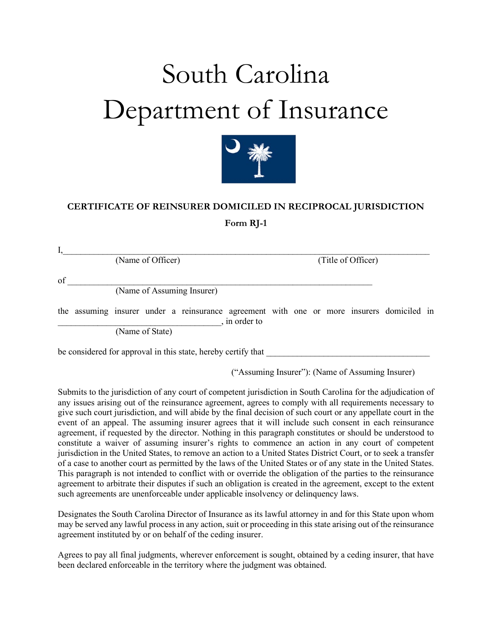## South Carolina Department of Insurance



## **CERTIFICATE OF REINSURER DOMICILED IN RECIPROCAL JURISDICTION**

**Form RJ-1**

|    | (Name of Officer)                                                                                          |  | (Title of Officer) |  |  |  |  |  |
|----|------------------------------------------------------------------------------------------------------------|--|--------------------|--|--|--|--|--|
| of |                                                                                                            |  |                    |  |  |  |  |  |
|    | (Name of Assuming Insurer)                                                                                 |  |                    |  |  |  |  |  |
|    | the assuming insurer under a reinsurance agreement with one or more insurers domiciled in<br>, in order to |  |                    |  |  |  |  |  |
|    | (Name of State)                                                                                            |  |                    |  |  |  |  |  |

be considered for approval in this state, hereby certify that

("Assuming Insurer"): (Name of Assuming Insurer)

Submits to the jurisdiction of any court of competent jurisdiction in South Carolina for the adjudication of any issues arising out of the reinsurance agreement, agrees to comply with all requirements necessary to give such court jurisdiction, and will abide by the final decision of such court or any appellate court in the event of an appeal. The assuming insurer agrees that it will include such consent in each reinsurance agreement, if requested by the director. Nothing in this paragraph constitutes or should be understood to constitute a waiver of assuming insurer's rights to commence an action in any court of competent jurisdiction in the United States, to remove an action to a United States District Court, or to seek a transfer of a case to another court as permitted by the laws of the United States or of any state in the United States. This paragraph is not intended to conflict with or override the obligation of the parties to the reinsurance agreement to arbitrate their disputes if such an obligation is created in the agreement, except to the extent such agreements are unenforceable under applicable insolvency or delinquency laws.

Designates the South Carolina Director of Insurance as its lawful attorney in and for this State upon whom may be served any lawful process in any action, suit or proceeding in this state arising out of the reinsurance agreement instituted by or on behalf of the ceding insurer.

Agrees to pay all final judgments, wherever enforcement is sought, obtained by a ceding insurer, that have been declared enforceable in the territory where the judgment was obtained.